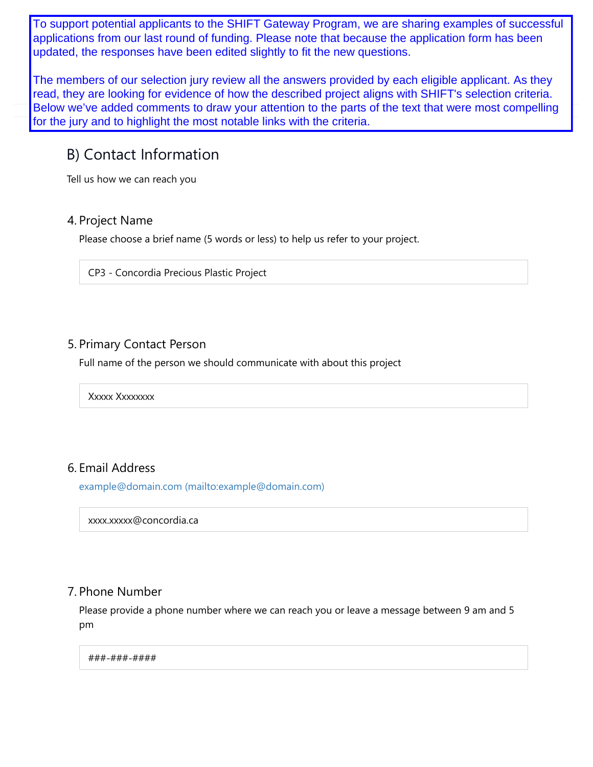updated, the responses have been edited slightly to fit the new questions. To support potential applicants to the SHIFT Gateway Program, we are sharing examples of successful applications from our last round of funding. Please note that because the application form has been

The members of our selection jury review all the answers provided by each eligible applicant. As they read, they are looking for evidence of how the described project aligns with SHIFT's selection criteria. Below we've added comments to draw your attention to the parts of the text that were most compelling for the jury and to highlight the most notable links with the criteria.

# B) Contact Information

Tell us how we can reach you

### 4. Project Name

Please choose a brief name (5 words or less) to help us refer to your project.

CP3 - Concordia Precious Plastic Project

## 5. Primary Contact Person

Full name of the person we should communicate with about this project

Xxxxx Xxxxxxxx

# 6. Email Address

example@domain.com (mailto:example@domain.com)

xxxx.xxxxx@concordia.ca

### 7. Phone Number

Please provide a phone number where we can reach you or leave a message between 9 am and 5 pm

#### ###-###-####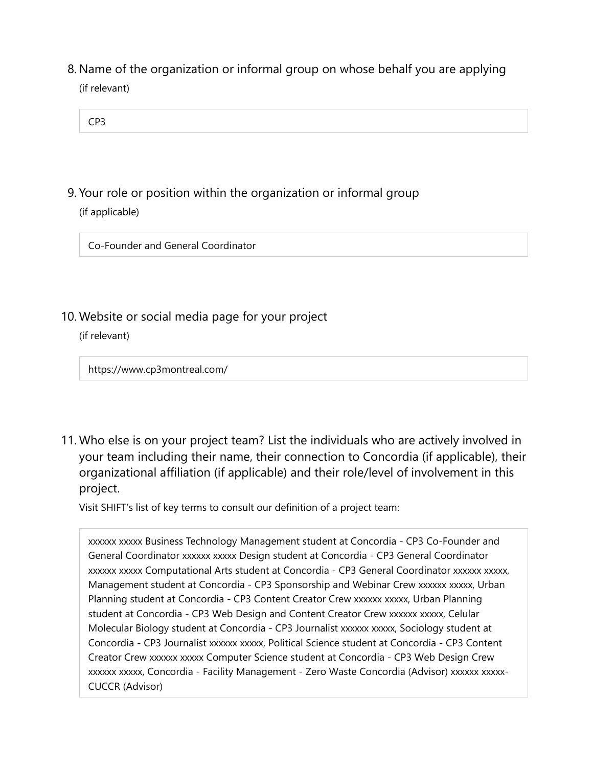(if relevant) 8. Name of the organization or informal group on whose behalf you are applying

| CP <sub>3</sub> |  |  |  |
|-----------------|--|--|--|
|                 |  |  |  |

(if applicable) 9. Your role or position within the organization or informal group

Co-Founder and General Coordinator

10. Website or social media page for your project

(if relevant)

https://www.cp3montreal.com/

11. Who else is on your project team? List the individuals who are actively involved in your team including their name, their connection to Concordia (if applicable), their organizational affiliation (if applicable) and their role/level of involvement in this project.

Visit SHIFT's list of key terms to consult our definition of a project team:

xxxxxx xxxxx Business Technology Management student at Concordia - CP3 Co-Founder and General Coordinator xxxxxx xxxxx Design student at Concordia - CP3 General Coordinator xxxxxx xxxxx Computational Arts student at Concordia - CP3 General Coordinator xxxxxx xxxxx, Management student at Concordia - CP3 Sponsorship and Webinar Crew xxxxxx xxxxx, Urban Planning student at Concordia - CP3 Content Creator Crew xxxxxx xxxxx, Urban Planning student at Concordia - CP3 Web Design and Content Creator Crew xxxxxx xxxxx, Celular Molecular Biology student at Concordia - CP3 Journalist xxxxxx xxxxx, Sociology student at Concordia - CP3 Journalist xxxxxx xxxxx, Political Science student at Concordia - CP3 Content Creator Crew xxxxxx xxxxx Computer Science student at Concordia - CP3 Web Design Crew xxxxxx xxxxx, Concordia - Facility Management - Zero Waste Concordia (Advisor) xxxxxx xxxxx-CUCCR (Advisor)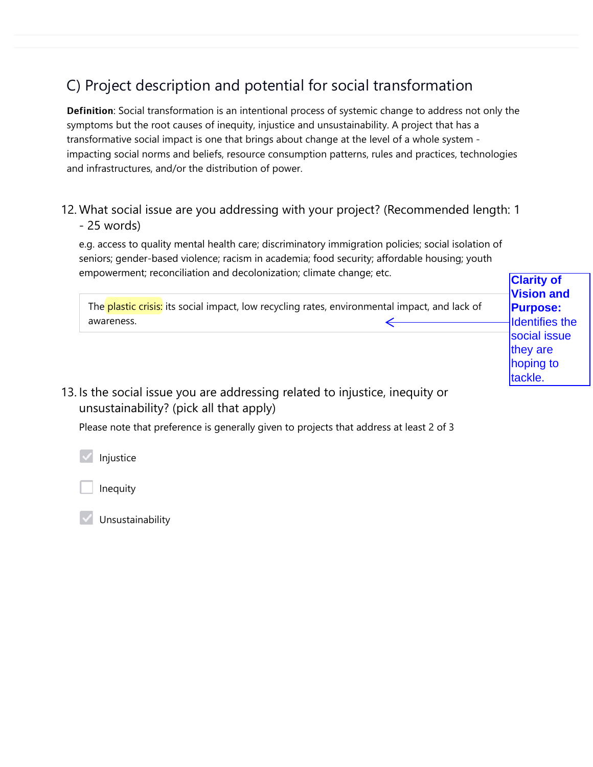# C) Project description and potential for social transformation

Definition: Social transformation is an intentional process of systemic change to address not only the symptoms but the root causes of inequity, injustice and unsustainability. A project that has a transformative social impact is one that brings about change at the level of a whole system impacting social norms and beliefs, resource consumption patterns, rules and practices, technologies and infrastructures, and/or the distribution of power.

## 12. What social issue are you addressing with your project? (Recommended length: 1 - 25 words)

e.g. access to quality mental health care; discriminatory immigration policies; social isolation of seniors; gender-based violence; racism in academia; food security; affordable housing; youth empowerment; reconciliation and decolonization; climate change; etc.

| Chipowerment, reconciliation and accolomzation, climate change, etc.                                                    | <b>Clarity of</b><br><b>Vision and</b>           |
|-------------------------------------------------------------------------------------------------------------------------|--------------------------------------------------|
| The plastic crisis: its social impact, low recycling rates, environmental impact, and lack of<br>awareness.             | <b>Purpose:</b><br>Identifies the                |
|                                                                                                                         | social issue<br>they are<br>hoping to<br>tackle. |
| 13. Is the social issue you are addressing related to injustice, inequity or<br>unsustainability? (pick all that apply) |                                                  |

Please note that preference is generally given to projects that address at least 2 of 3

Injustice

Inequity

Unsustainability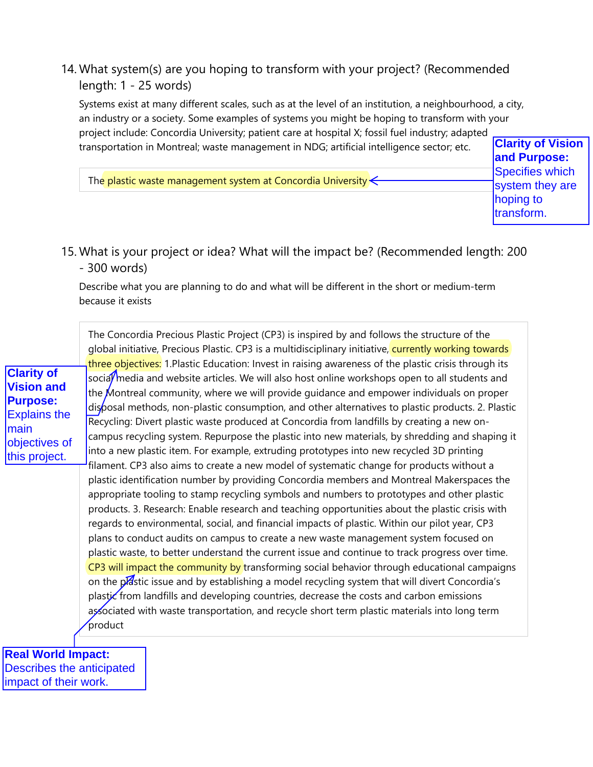# 14. What system(s) are you hoping to transform with your project? (Recommended length: 1 - 25 words)

Systems exist at many different scales, such as at the level of an institution, a neighbourhood, a city, an industry or a society. Some examples of systems you might be hoping to transform with your project include: Concordia University; patient care at hospital X; fossil fuel industry; adapted transportation in Montreal; waste management in NDG; artificial intelligence sector; etc.

The plastic waste management system at Concordia University  $\leftarrow$ 

**Clarity of Vision and Purpose:** Specifies which system they are hoping to transform.

## 15. What is your project or idea? What will the impact be? (Recommended length: 200 - 300 words)

Describe what you are planning to do and what will be different in the short or medium-term because it exists

The Concordia Precious Plastic Project (CP3) is inspired by and follows the structure of the global initiative, Precious Plastic. CP3 is a multidisciplinary initiative, **currently working towards** three objectives: 1. Plastic Education: Invest in raising awareness of the plastic crisis through its socia/ media and website articles. We will also host online workshops open to all students and the Montreal community, where we will provide guidance and empower individuals on proper disposal methods, non-plastic consumption, and other alternatives to plastic products. 2. Plastic Recycling: Divert plastic waste produced at Concordia from landfills by creating a new oncampus recycling system. Repurpose the plastic into new materials, by shredding and shaping it into a new plastic item. For example, extruding prototypes into new recycled 3D printing filament. CP3 also aims to create a new model of systematic change for products without a plastic identification number by providing Concordia members and Montreal Makerspaces the appropriate tooling to stamp recycling symbols and numbers to prototypes and other plastic products. 3. Research: Enable research and teaching opportunities about the plastic crisis with regards to environmental, social, and financial impacts of plastic. Within our pilot year, CP3 plans to conduct audits on campus to create a new waste management system focused on plastic waste, to better understand the current issue and continue to track progress over time. CP3 will impact the community by transforming social behavior through educational campaigns on the plastic issue and by establishing a model recycling system that will divert Concordia's plastic from landfills and developing countries, decrease the costs and carbon emissions associated with waste transportation, and recycle short term plastic materials into long term product **Clarity of Vision and Purpose:** Explains the main objectives of this project.

**Real World Impact:** Describes the anticipated impact of their work.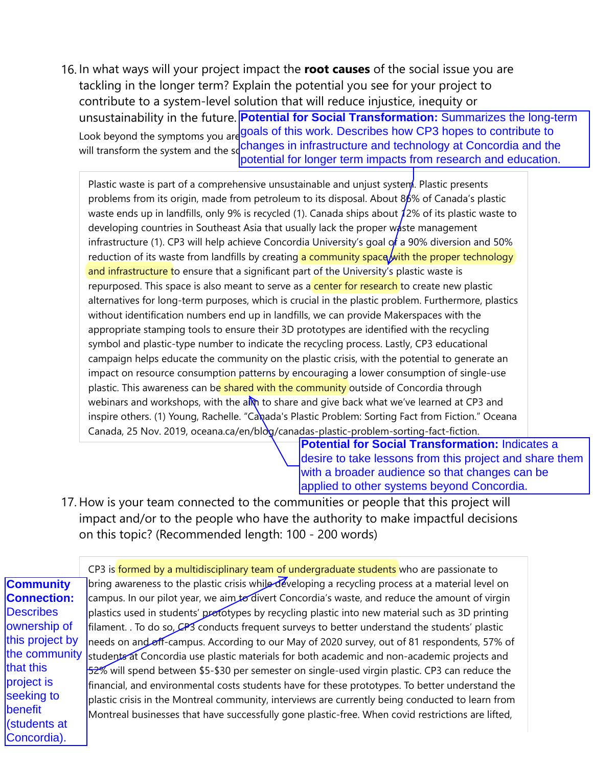Look beyond the symptoms you are goals of this work. Describes how CP3 hopes to contribute to will transform the system and the sochanges in infrastructure and technology at Concordia and the 16. In what ways will your project impact the **root causes** of the social issue you are tackling in the longer term? Explain the potential you see for your project to contribute to a system-level solution that will reduce injustice, inequity or unsustainability in the future. **Potential for Social Transformation:** Summarizes the long-term potential for longer term impacts from research and education.

Plastic waste is part of a comprehensive unsustainable and unjust system. Plastic presents problems from its origin, made from petroleum to its disposal. About 86% of Canada's plastic waste ends up in landfills, only 9% is recycled (1). Canada ships about 12% of its plastic waste to developing countries in Southeast Asia that usually lack the proper waste management infrastructure (1). CP3 will help achieve Concordia University's goal of a 90% diversion and 50% reduction of its waste from landfills by creating a community space with the proper technology and infrastructure to ensure that a significant part of the University's plastic waste is repurposed. This space is also meant to serve as a **center for research** to create new plastic alternatives for long-term purposes, which is crucial in the plastic problem. Furthermore, plastics without identification numbers end up in landfills, we can provide Makerspaces with the appropriate stamping tools to ensure their 3D prototypes are identified with the recycling symbol and plastic-type number to indicate the recycling process. Lastly, CP3 educational campaign helps educate the community on the plastic crisis, with the potential to generate an impact on resource consumption patterns by encouraging a lower consumption of single-use plastic. This awareness can be shared with the community outside of Concordia through webinars and workshops, with the alm to share and give back what we've learned at CP3 and inspire others. (1) Young, Rachelle. "Canada's Plastic Problem: Sorting Fact from Fiction." Oceana Canada, 25 Nov. 2019, oceana.ca/en/blog/canadas-plastic-problem-sorting-fact-fiction.

**Potential for Social Transformation: Indicates a** desire to take lessons from this project and share them with a broader audience so that changes can be applied to other systems beyond Concordia.

17. How is your team connected to the communities or people that this project will impact and/or to the people who have the authority to make impactful decisions on this topic? (Recommended length: 100 - 200 words)

CP3 is formed by a multidisciplinary team of undergraduate students who are passionate to bring awareness to the plastic crisis while developing a recycling process at a material level on campus. In our pilot year, we aim to divert Concordia's waste, and reduce the amount of virgin plastics used in students' prototypes by recycling plastic into new material such as 3D printing filament. . To do so, CP3 conducts frequent surveys to better understand the students' plastic needs on and off-campus. According to our May of 2020 survey, out of 81 respondents, 57% of students at Concordia use plastic materials for both academic and non-academic projects and 52% will spend between \$5-\$30 per semester on single-used virgin plastic. CP3 can reduce the financial, and environmental costs students have for these prototypes. To better understand the plastic crisis in the Montreal community, interviews are currently being conducted to learn from Montreal businesses that have successfully gone plastic-free. When covid restrictions are lifted, **Community Connection: Describes** ownership of this project by the community that this project is seeking to benefit (students at Concordia).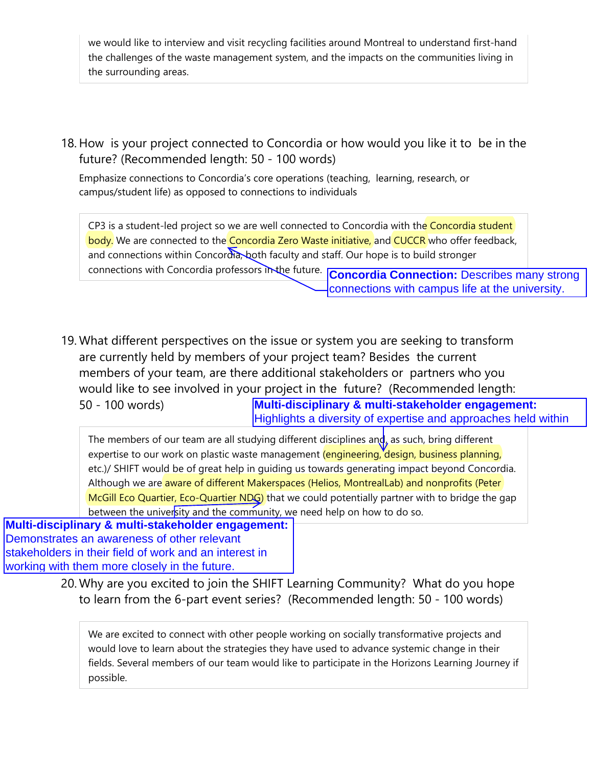we would like to interview and visit recycling facilities around Montreal to understand first-hand the challenges of the waste management system, and the impacts on the communities living in the surrounding areas.

18. How is your project connected to Concordia or how would you like it to be in the future? (Recommended length: 50 - 100 words)

Emphasize connections to Concordia's core operations (teaching, learning, research, or campus/student life) as opposed to connections to individuals

CP3 is a student-led project so we are well connected to Concordia with the Concordia student body. We are connected to the Concordia Zero Waste initiative, and CUCCR who offer feedback, and connections within Concordia, both faculty and staff. Our hope is to build stronger connections with Concordia professors in the future.

**Concordia Connection:** Describes many strong connections with campus life at the university.

What different perspectives on the issue or system you are seeking to transform 19. are currently held by members of your project team? Besides the current members of your team, are there additional stakeholders or partners who you would like to see involved in your project in the future? (Recommended length: 50 - 100 words) **Multi-disciplinary & multi-stakeholder engagement:** Highlights a diversity of expertise and approaches held within

The members of our team are all studying different disciplines and, as such, bring different expertise to our work on plastic waste management (engineering, design, business planning, etc.)/ SHIFT would be of great help in guiding us towards generating impact beyond Concordia. Although we are aware of different Makerspaces (Helios, MontrealLab) and nonprofits (Peter McGill Eco Quartier, Eco-Quartier NDG) that we could potentially partner with to bridge the gap between the university and the community, we need help on how to do so.

**Multi-disciplinary & multi-stakeholder engagement:** Demonstrates an awareness of other relevant stakeholders in their field of work and an interest in working with them more closely in the future.

> 20. Why are you excited to join the SHIFT Learning Community? What do you hope to learn from the 6-part event series? (Recommended length: 50 - 100 words)

We are excited to connect with other people working on socially transformative projects and would love to learn about the strategies they have used to advance systemic change in their fields. Several members of our team would like to participate in the Horizons Learning Journey if possible.